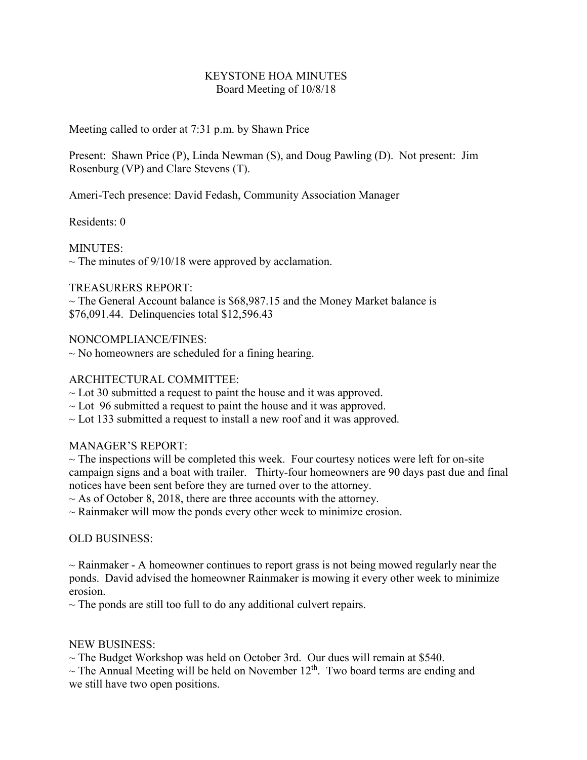### KEYSTONE HOA MINUTES Board Meeting of 10/8/18

Meeting called to order at 7:31 p.m. by Shawn Price

Present: Shawn Price (P), Linda Newman (S), and Doug Pawling (D). Not present: Jim Rosenburg (VP) and Clare Stevens (T).

Ameri-Tech presence: David Fedash, Community Association Manager

Residents: 0

MINUTES:  $\sim$  The minutes of 9/10/18 were approved by acclamation.

## TREASURERS REPORT:

 $\sim$  The General Account balance is \$68,987.15 and the Money Market balance is \$76,091.44. Delinquencies total \$12,596.43

NONCOMPLIANCE/FINES:

 $\sim$  No homeowners are scheduled for a fining hearing.

## ARCHITECTURAL COMMITTEE:

- $\sim$  Lot 30 submitted a request to paint the house and it was approved.
- $\sim$  Lot 96 submitted a request to paint the house and it was approved.
- $\sim$  Lot 133 submitted a request to install a new roof and it was approved.

# MANAGER'S REPORT:

 $\sim$  The inspections will be completed this week. Four courtesy notices were left for on-site campaign signs and a boat with trailer. Thirty-four homeowners are 90 days past due and final notices have been sent before they are turned over to the attorney.

 $\sim$  As of October 8, 2018, there are three accounts with the attorney.

 $\sim$  Rainmaker will mow the ponds every other week to minimize erosion.

OLD BUSINESS:

 $\sim$  Rainmaker - A homeowner continues to report grass is not being mowed regularly near the ponds. David advised the homeowner Rainmaker is mowing it every other week to minimize erosion.

 $\sim$  The ponds are still too full to do any additional culvert repairs.

#### NEW BUSINESS:

 $\sim$  The Budget Workshop was held on October 3rd. Our dues will remain at \$540.

 $\sim$  The Annual Meeting will be held on November 12<sup>th</sup>. Two board terms are ending and we still have two open positions.